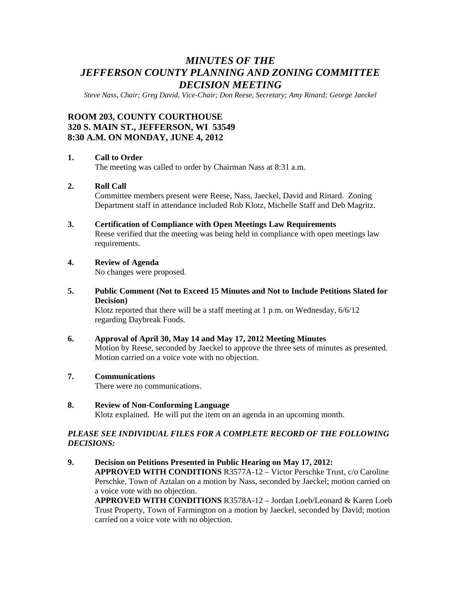# *MINUTES OF THE JEFFERSON COUNTY PLANNING AND ZONING COMMITTEE DECISION MEETING*

*Steve Nass, Chair; Greg David, Vice-Chair; Don Reese, Secretary; Amy Rinard; George Jaeckel* 

# **ROOM 203, COUNTY COURTHOUSE 320 S. MAIN ST., JEFFERSON, WI 53549 8:30 A.M. ON MONDAY, JUNE 4, 2012**

#### **1. Call to Order**

The meeting was called to order by Chairman Nass at 8:31 a.m.

# **2. Roll Call**

Committee members present were Reese, Nass, Jaeckel, David and Rinard. Zoning Department staff in attendance included Rob Klotz, Michelle Staff and Deb Magritz.

#### **3. Certification of Compliance with Open Meetings Law Requirements**

Reese verified that the meeting was being held in compliance with open meetings law requirements.

## **4. Review of Agenda**

No changes were proposed.

**5. Public Comment (Not to Exceed 15 Minutes and Not to Include Petitions Slated for Decision)** 

Klotz reported that there will be a staff meeting at 1 p.m. on Wednesday, 6/6/12 regarding Daybreak Foods.

- **6. Approval of April 30, May 14 and May 17, 2012 Meeting Minutes**  Motion by Reese, seconded by Jaeckel to approve the three sets of minutes as presented. Motion carried on a voice vote with no objection.
- **7. Communications**

There were no communications.

**8. Review of Non-Conforming Language**  Klotz explained. He will put the item on an agenda in an upcoming month.

### *PLEASE SEE INDIVIDUAL FILES FOR A COMPLETE RECORD OF THE FOLLOWING DECISIONS:*

**9. Decision on Petitions Presented in Public Hearing on May 17, 2012: APPROVED WITH CONDITIONS** R3577A-12 – Victor Perschke Trust, c/o Caroline Perschke, Town of Aztalan on a motion by Nass, seconded by Jaeckel; motion carried on a voice vote with no objection. **APPROVED WITH CONDITIONS** R3578A-12 – Jordan Loeb/Leonard & Karen Loeb Trust Property, Town of Farmington on a motion by Jaeckel, seconded by David; motion carried on a voice vote with no objection.